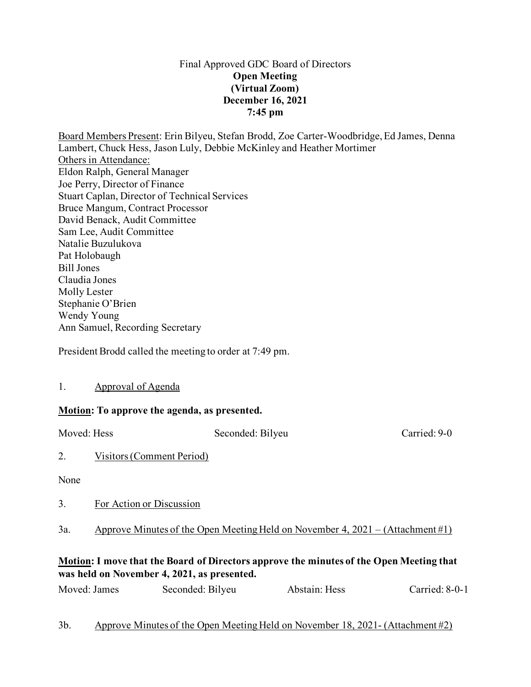### Final Approved GDC Board of Directors **Open Meeting (Virtual Zoom) December 16, 2021 7:45 pm**

Board Members Present: Erin Bilyeu, Stefan Brodd, Zoe Carter-Woodbridge, Ed James, Denna Lambert, Chuck Hess, Jason Luly, Debbie McKinley and Heather Mortimer Others in Attendance: Eldon Ralph, General Manager Joe Perry, Director of Finance Stuart Caplan, Director of Technical Services Bruce Mangum, Contract Processor David Benack, Audit Committee Sam Lee, Audit Committee Natalie Buzulukova Pat Holobaugh Bill Jones Claudia Jones Molly Lester Stephanie O'Brien Wendy Young Ann Samuel, Recording Secretary

President Brodd called the meeting to order at 7:49 pm.

1. Approval of Agenda

## **Motion: To approve the agenda, as presented.**

Moved: Hess Seconded: Bilyeu Carried: 9-0

2. Visitors (Comment Period)

None

3. For Action or Discussion

3a. Approve Minutes of the Open Meeting Held on November 4, 2021 – (Attachment #1)

## **Motion: I move that the Board of Directors approve the minutes of the Open Meeting that was held on November 4, 2021, as presented.**

| Moved: James<br>Seconded: Bilyeu | Abstain: Hess | Carried: 8-0-1 |
|----------------------------------|---------------|----------------|
|----------------------------------|---------------|----------------|

# 3b. Approve Minutes of the Open Meeting Held on November 18, 2021- (Attachment #2)